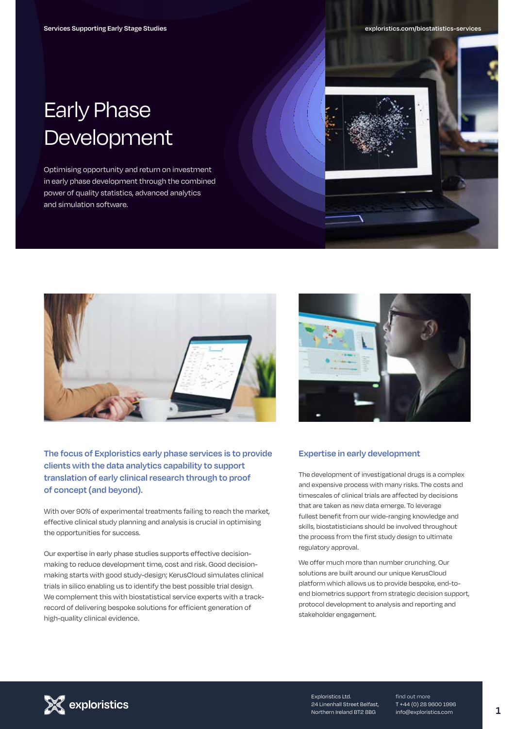# Early Phase Development

Optimising opportunity and return on investment in early phase development through the combined power of quality statistics, advanced analytics and simulation software.





**The focus of Exploristics early phase services is to provide clients with the data analytics capability to support translation of early clinical research through to proof of concept (and beyond).**

With over 90% of experimental treatments failing to reach the market, effective clinical study planning and analysis is crucial in optimising the opportunities for success.

Our expertise in early phase studies supports effective decisionmaking to reduce development time, cost and risk. Good decisionmaking starts with good study-design; KerusCloud simulates clinical trials in silico enabling us to identify the best possible trial design. We complement this with biostatistical service experts with a trackrecord of delivering bespoke solutions for efficient generation of high-quality clinical evidence.



#### **Expertise in early development**

The development of investigational drugs is a complex and expensive process with many risks. The costs and timescales of clinical trials are affected by decisions that are taken as new data emerge. To leverage fullest benefit from our wide-ranging knowledge and skills, biostatisticians should be involved throughout the process from the first study design to ultimate regulatory approval.

We offer much more than number crunching. Our solutions are built around our unique KerusCloud platform which allows us to provide bespoke, end-toend biometrics support from strategic decision support, protocol development to analysis and reporting and stakeholder engagement.



Exploristics Ltd. 24 Linenhall Street Belfast, Northern Ireland BT2 8BG

find out more T +44 (0) 28 9600 1996 info@exploristics.com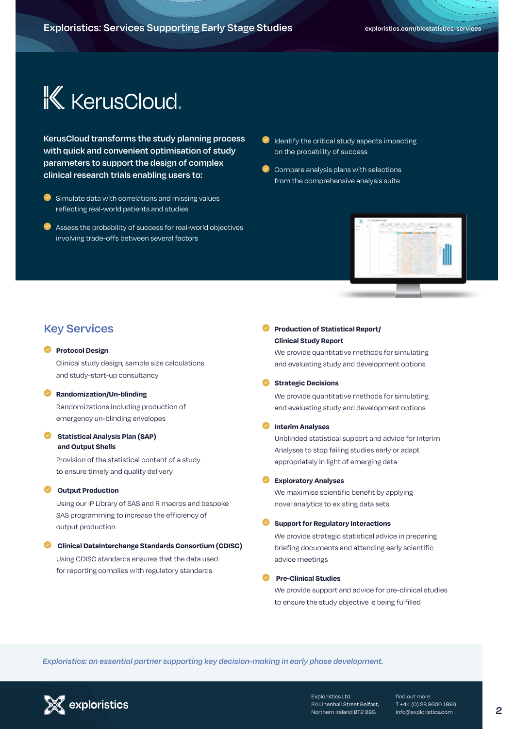# **K** KerusCloud.

**KerusCloud transforms the study planning process with quick and convenient optimisation of study parameters to support the design of complex clinical research trials enabling users to:**

- Simulate data with correlations and missing values reflecting real-world patients and studies
- Assess the probability of success for real-world objectives involving trade-offs between several factors
- $\bullet$  Identify the critical study aspects impacting on the probability of success
- $\bullet$  Compare analysis plans with selections from the comprehensive analysis suite



# **Key Services**

#### **Protocol Design**

Clinical study design, sample size calculations and study-start-up consultancy

#### **Randomization/Un-blinding**

Randomizations including production of emergency un-blinding envelopes

#### **Statistical Analysis Plan (SAP) and Output Shells**

Provision of the statistical content of a study to ensure timely and quality delivery

#### **Output Production**

Using our IP Library of SAS and R macros and bespoke SAS programming to increase the efficiency of output production

# **Clinical DataInterchange Standards Consortium (CDISC)** Using CDISC standards ensures that the data used

for reporting complies with regulatory standards

#### **Production of Statistical Report/ Clinical Study Report**

We provide quantitative methods for simulating and evaluating study and development options

#### **Strategic Decisions**

We provide quantitative methods for simulating and evaluating study and development options

#### **Interim Analyses**

Unblinded statistical support and advice for Interim Analyses to stop failing studies early or adapt appropriately in light of emerging data

#### **Exploratory Analyses**

We maximise scientific benefit by applying novel analytics to existing data sets

#### **Support for Regulatory Interactions**

We provide strategic statistical advice in preparing briefing documents and attending early scientific advice meetings

#### **Pre-Clinical Studies**

We provide support and advice for pre-clinical studies to ensure the study objective is being fulfilled

*Exploristics: an essential partner in data driven decision-making for accelerated development. supporting key decision-making in early phase development.* 



Exploristics Ltd. 24 Linenhall Street Belfast, Northern Ireland BT2 8BG

find out more T +44 (0) 28 9600 1996 info@exploristics.com